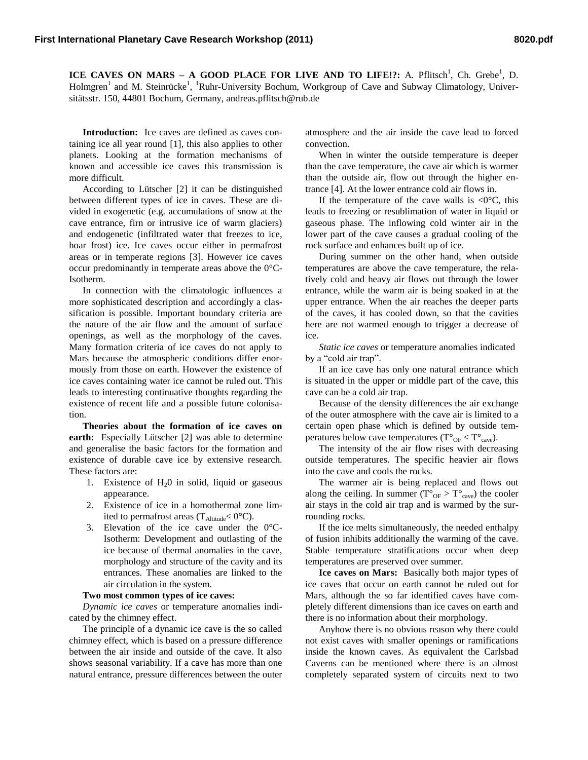**ICE CAVES ON MARS – A GOOD PLACE FOR LIVE AND TO LIFE!?:** A. Pflitsch<sup>1</sup>, Ch. Grebe<sup>1</sup>, D. Holmgren<sup>1</sup> and M. Steinrücke<sup>1</sup>, <sup>1</sup>Ruhr-University Bochum, Workgroup of Cave and Subway Climatology, Universitätsstr. 150, 44801 Bochum, Germany, andreas.pflitsch@rub.de

**Introduction:** Ice caves are defined as caves containing ice all year round [1], this also applies to other planets. Looking at the formation mechanisms of known and accessible ice caves this transmission is more difficult.

According to Lütscher [2] it can be distinguished between different types of ice in caves. These are divided in exogenetic (e.g. accumulations of snow at the cave entrance, firn or intrusive ice of warm glaciers) and endogenetic (infiltrated water that freezes to ice, hoar frost) ice. Ice caves occur either in permafrost areas or in temperate regions [3]. However ice caves occur predominantly in temperate areas above the 0°C-Isotherm.

In connection with the climatologic influences a more sophisticated description and accordingly a classification is possible. Important boundary criteria are the nature of the air flow and the amount of surface openings, as well as the morphology of the caves. Many formation criteria of ice caves do not apply to Mars because the atmospheric conditions differ enormously from those on earth. However the existence of ice caves containing water ice cannot be ruled out. This leads to interesting continuative thoughts regarding the existence of recent life and a possible future colonisation.

**Theories about the formation of ice caves on earth:** Especially Lütscher [2] was able to determine and generalise the basic factors for the formation and existence of durable cave ice by extensive research. These factors are:

- 1. Existence of  $H<sub>2</sub>0$  in solid, liquid or gaseous appearance.
- 2. Existence of ice in a homothermal zone limited to permafrost areas ( $T_{\text{Altitude}} < 0^{\circ}C$ ).
- 3. Elevation of the ice cave under the 0°C-Isotherm: Development and outlasting of the ice because of thermal anomalies in the cave, morphology and structure of the cavity and its entrances. These anomalies are linked to the air circulation in the system.

## **Two most common types of ice caves:**

*Dynamic ice caves* or temperature anomalies indicated by the chimney effect.

The principle of a dynamic ice cave is the so called chimney effect, which is based on a pressure difference between the air inside and outside of the cave. It also shows seasonal variability. If a cave has more than one natural entrance, pressure differences between the outer atmosphere and the air inside the cave lead to forced convection.

When in winter the outside temperature is deeper than the cave temperature, the cave air which is warmer than the outside air, flow out through the higher entrance [4]. At the lower entrance cold air flows in.

If the temperature of the cave walls is  $\langle 0^{\circ}C, \text{ this} \rangle$ leads to freezing or resublimation of water in liquid or gaseous phase. The inflowing cold winter air in the lower part of the cave causes a gradual cooling of the rock surface and enhances built up of ice.

During summer on the other hand, when outside temperatures are above the cave temperature, the relatively cold and heavy air flows out through the lower entrance, while the warm air is being soaked in at the upper entrance. When the air reaches the deeper parts of the caves, it has cooled down, so that the cavities here are not warmed enough to trigger a decrease of ice.

*Static ice caves* or temperature anomalies indicated by a "cold air trap".

If an ice cave has only one natural entrance which is situated in the upper or middle part of the cave, this cave can be a cold air trap.

Because of the density differences the air exchange of the outer atmosphere with the cave air is limited to a certain open phase which is defined by outside temperatures below cave temperatures ( $T^{\circ}{}_{OF} < T^{\circ}{}_{cave}$ ).

The intensity of the air flow rises with decreasing outside temperatures. The specific heavier air flows into the cave and cools the rocks.

The warmer air is being replaced and flows out along the ceiling. In summer ( $T^{\circ}{}_{OF} > T^{\circ}{}_{cave}$ ) the cooler air stays in the cold air trap and is warmed by the surrounding rocks.

If the ice melts simultaneously, the needed enthalpy of fusion inhibits additionally the warming of the cave. Stable temperature stratifications occur when deep temperatures are preserved over summer.

**Ice caves on Mars:** Basically both major types of ice caves that occur on earth cannot be ruled out for Mars, although the so far identified caves have completely different dimensions than ice caves on earth and there is no information about their morphology.

Anyhow there is no obvious reason why there could not exist caves with smaller openings or ramifications inside the known caves. As equivalent the Carlsbad Caverns can be mentioned where there is an almost completely separated system of circuits next to two